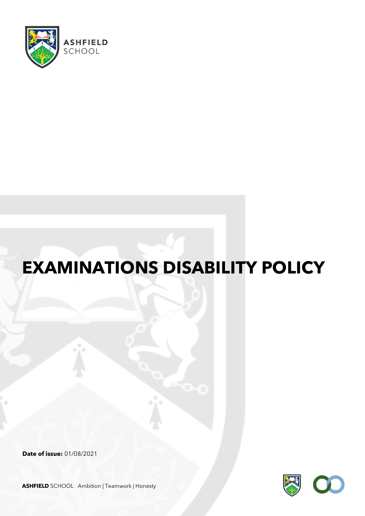

# **EXAMINATIONS DISABILITY POLICY**

**Date of issue:** 01/08/2021



**ASHFIELD** SCHOOL Ambition | Teamwork | Honesty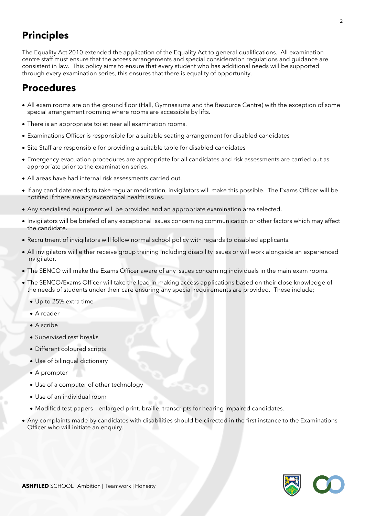### **Principles**

The Equality Act 2010 extended the application of the Equality Act to general qualifications. All examination centre staff must ensure that the access arrangements and special consideration regulations and guidance are consistent in law. This policy aims to ensure that every student who has additional needs will be supported through every examination series, this ensures that there is equality of opportunity.

### **Procedures**

- All exam rooms are on the ground floor (Hall, Gymnasiums and the Resource Centre) with the exception of some special arrangement rooming where rooms are accessible by lifts.
- There is an appropriate toilet near all examination rooms.
- Examinations Officer is responsible for a suitable seating arrangement for disabled candidates
- Site Staff are responsible for providing a suitable table for disabled candidates
- Emergency evacuation procedures are appropriate for all candidates and risk assessments are carried out as appropriate prior to the examination series.
- All areas have had internal risk assessments carried out.
- If any candidate needs to take regular medication, invigilators will make this possible. The Exams Officer will be notified if there are any exceptional health issues.
- Any specialised equipment will be provided and an appropriate examination area selected.
- Invigilators will be briefed of any exceptional issues concerning communication or other factors which may affect the candidate.
- Recruitment of invigilators will follow normal school policy with regards to disabled applicants.
- All invigilators will either receive group training including disability issues or will work alongside an experienced invigilator.
- The SENCO will make the Exams Officer aware of any issues concerning individuals in the main exam rooms.
- The SENCO/Exams Officer will take the lead in making access applications based on their close knowledge of the needs of students under their care ensuring any special requirements are provided. These include;
	- Up to 25% extra time
	- A reader
	- A scribe
	- Supervised rest breaks
	- Different coloured scripts
	- Use of bilingual dictionary
	- A prompter
	- Use of a computer of other technology
	- Use of an individual room
	- Modified test papers enlarged print, braille, transcripts for hearing impaired candidates.
- Any complaints made by candidates with disabilities should be directed in the first instance to the Examinations Officer who will initiate an enquiry.

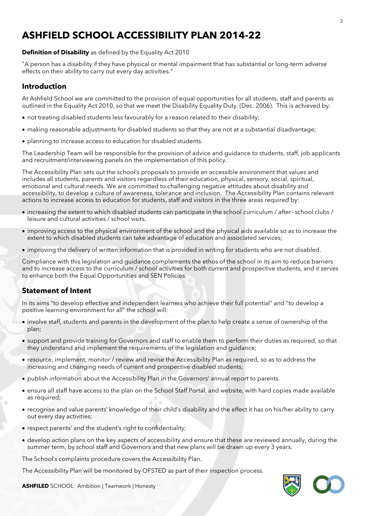### **ASHFIELD SCHOOL ACCESSIBILITY PLAN 2014-22**

#### **Definition of Disability** as defined by the Equality Act 2010

"A person has a disability if they have physical or mental impairment that has substantial or long-term adverse effects on their ability to carry out every day activities."

### **Introduction**

At Ashfield School we are committed to the provision of equal opportunities for all students, staff and parents as outlined in the Equality Act 2010, so that we meet the Disability Equality Duty. (Dec. 2006). This is achieved by:

- not treating disabled students less favourably for a reason related to their disability;
- making reasonable adjustments for disabled students so that they are not at a substantial disadvantage;
- planning to increase access to education for disabled students.

The Leadership Team will be responsible for the provision of advice and guidance to students, staff, job applicants and recruitment/interviewing panels on the implementation of this policy.

The Accessibility Plan sets out the school's proposals to provide an accessible environment that values and includes all students, parents and visitors regardless of their education, physical, sensory, social, spiritual, emotional and cultural needs. We are committed to challenging negative attitudes about disability and accessibility, to develop a culture of awareness, tolerance and inclusion. The Accessibility Plan contains relevant actions to increase access to education for students, staff and visitors in the three areas required by:

- increasing the extent to which disabled students can participate in the school curriculum / after- school clubs / leisure and cultural activities / school visits.
- improving access to the physical environment of the school and the physical aids available so as to increase the extent to which disabled students can take advantage of education and associated services;
- improving the delivery of written information that is provided in writing for students who are not disabled.

Compliance with this legislation and guidance complements the ethos of the school in its aim to reduce barriers and to increase access to the curriculum / school activities for both current and prospective students, and it serves to enhance both the Equal Opportunities and SEN Policies.

### **Statement of Intent**

In its aims "to develop effective and independent learners who achieve their full potential" and "to develop a positive learning environment for all" the school will:

- involve staff, students and parents in the development of the plan to help create a sense of ownership of the plan;
- support and provide training for Governors and staff to enable them to perform their duties as required, so that they understand and implement the requirements of the legislation and guidance;
- resource, implement, monitor / review and revise the Accessibility Plan as required, so as to address the increasing and changing needs of current and prospective disabled students;
- publish information about the Accessibility Plan in the Governors' annual report to parents.
- ensure all staff have access to the plan on the School Staff Portal, and website, with hard copies made available as required;
- recognise and value parents' knowledge of their child's disability and the effect it has on his/her ability to carry out every day activities;
- respect parents' and the student's right to confidentiality;
- develop action plans on the key aspects of accessibility and ensure that these are reviewed annually, during the summer term, by school staff and Governors and that new plans will be drawn up every 3 years.

The School's complaints procedure covers the Accessibility Plan.

The Accessibility Plan will be monitored by OFSTED as part of their inspection process.

**ASHFILED** SCHOOL Ambition | Teamwork | Honesty

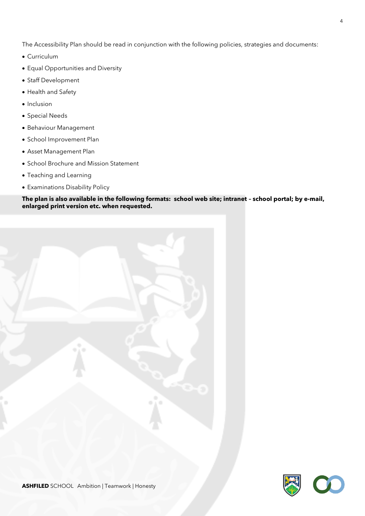The Accessibility Plan should be read in conjunction with the following policies, strategies and documents:

- Curriculum
- Equal Opportunities and Diversity
- Staff Development
- Health and Safety
- Inclusion
- Special Needs
- Behaviour Management
- School Improvement Plan
- Asset Management Plan
- School Brochure and Mission Statement
- Teaching and Learning
- Examinations Disability Policy

#### **The plan is also available in the following formats: school web site; intranet – school portal; by e-mail, enlarged print version etc. when requested.**



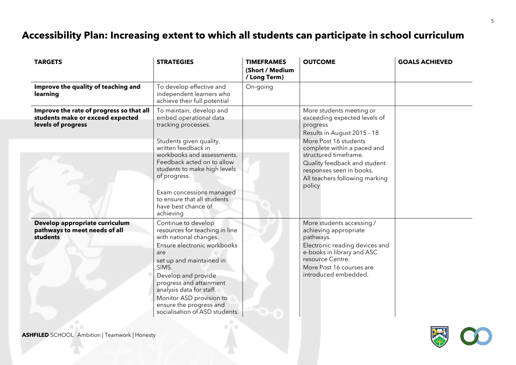## **Accessibility Plan: Increasing extent to which all students can participate in school curriculum**

| <b>TARGETS</b>                                                                                     | <b>STRATEGIES</b>                                                                                                                                                                                                                                                                                                                 | <b>TIMEFRAMES</b><br>(Short / Medium<br>/ Long Term) | <b>OUTCOME</b>                                                                                                                                                                                          | <b>GOALS ACHIEVED</b> |
|----------------------------------------------------------------------------------------------------|-----------------------------------------------------------------------------------------------------------------------------------------------------------------------------------------------------------------------------------------------------------------------------------------------------------------------------------|------------------------------------------------------|---------------------------------------------------------------------------------------------------------------------------------------------------------------------------------------------------------|-----------------------|
| Improve the quality of teaching and<br>learning                                                    | To develop effective and<br>independent learners who<br>achieve their full potential                                                                                                                                                                                                                                              | On-going                                             |                                                                                                                                                                                                         |                       |
| Improve the rate of progress so that all<br>students make or exceed expected<br>levels of progress | To maintain, develop and<br>embed operational data<br>tracking processes.                                                                                                                                                                                                                                                         |                                                      | More students meeting or<br>exceeding expected levels of<br>progress<br>Results in August 2015 - 18                                                                                                     |                       |
|                                                                                                    | Students given quality,<br>written feedback in<br>workbooks and assessments.<br>Feedback acted on to allow<br>students to make high levels<br>of progress.<br>Exam concessions managed<br>to ensure that all students<br>have best chance of<br>achieving                                                                         |                                                      | More Post 16 students<br>complete within a paced and<br>structured timeframe.<br>Quality feedback and student<br>responses seen in books.<br>All teachers following marking<br>policy                   |                       |
| Develop appropriate curriculum<br>pathways to meet needs of all<br><b>students</b>                 | Continue to develop<br>resources for teaching in line<br>with national changes.<br>Ensure electronic workbooks<br>are<br>set up and maintained in<br>SIMS.<br>Develop and provide<br>progress and attainment<br>analysis data for staff.<br>Monitor ASD provision to<br>ensure the progress and<br>socialisation of ASD students. |                                                      | More students accessing /<br>achieving appropriate<br>pathways.<br>Electronic reading devices and<br>e-books in library and ASC<br>resource Centre.<br>More Post 16 courses are<br>introduced embedded. |                       |

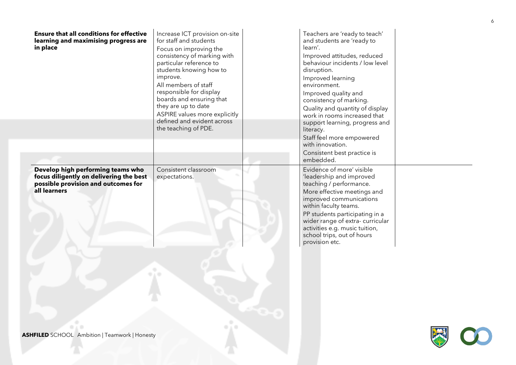| <b>Ensure that all conditions for effective</b><br>learning and maximising progress are<br>in place                                 | Increase ICT provision on-site<br>for staff and students<br>Focus on improving the<br>consistency of marking with<br>particular reference to<br>students knowing how to<br>improve.<br>All members of staff<br>responsible for display<br>boards and ensuring that<br>they are up to date<br>ASPIRE values more explicitly<br>defined and evident across<br>the teaching of PDE. | Teachers are 'ready to teach'<br>and students are 'ready to<br>learn'.<br>Improved attitudes, reduced<br>behaviour incidents / low level<br>disruption.<br>Improved learning<br>environment.<br>Improved quality and<br>consistency of marking.<br>Quality and quantity of display<br>work in rooms increased that<br>support learning, progress and<br>literacy.<br>Staff feel more empowered<br>with innovation.<br>Consistent best practice is |  |
|-------------------------------------------------------------------------------------------------------------------------------------|----------------------------------------------------------------------------------------------------------------------------------------------------------------------------------------------------------------------------------------------------------------------------------------------------------------------------------------------------------------------------------|---------------------------------------------------------------------------------------------------------------------------------------------------------------------------------------------------------------------------------------------------------------------------------------------------------------------------------------------------------------------------------------------------------------------------------------------------|--|
| Develop high performing teams who<br>focus diligently on delivering the best<br>possible provision and outcomes for<br>all learners | Consistent classroom<br>expectations.<br>C)                                                                                                                                                                                                                                                                                                                                      | embedded.<br>Evidence of more' visible<br>'leadership and improved<br>teaching / performance.<br>More effective meetings and<br>improved communications<br>within faculty teams.<br>PP students participating in a<br>wider range of extra-curricular<br>activities e.g. music tuition,<br>school trips, out of hours<br>provision etc.                                                                                                           |  |
| <b>ASHFILED</b> SCHOOL Ambition   Teamwork   Honesty                                                                                |                                                                                                                                                                                                                                                                                                                                                                                  |                                                                                                                                                                                                                                                                                                                                                                                                                                                   |  |

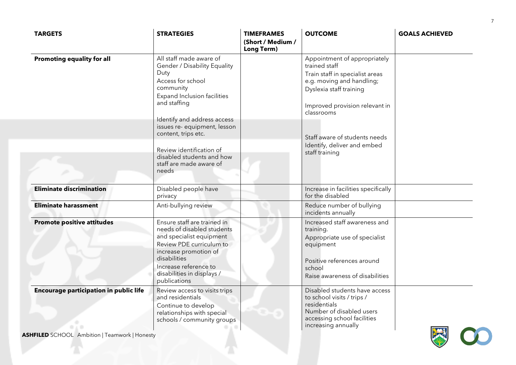| <b>TARGETS</b>                                         | <b>STRATEGIES</b>                                                                                                                                                                                                                 | <b>TIMEFRAMES</b><br>(Short / Medium /<br>Long Term) | <b>OUTCOME</b>                                                                                                                                                                           | <b>GOALS ACHIEVED</b> |
|--------------------------------------------------------|-----------------------------------------------------------------------------------------------------------------------------------------------------------------------------------------------------------------------------------|------------------------------------------------------|------------------------------------------------------------------------------------------------------------------------------------------------------------------------------------------|-----------------------|
| <b>Promoting equality for all</b>                      | All staff made aware of<br><b>Gender / Disability Equality</b><br>Duty<br>Access for school<br>community<br><b>Expand Inclusion facilities</b><br>and staffing                                                                    |                                                      | Appointment of appropriately<br>trained staff<br>Train staff in specialist areas<br>e.g. moving and handling;<br>Dyslexia staff training<br>Improved provision relevant in<br>classrooms |                       |
|                                                        | Identify and address access<br>issues re- equipment, lesson<br>content, trips etc.<br>Review identification of<br>disabled students and how<br>staff are made aware of<br>needs                                                   |                                                      | Staff aware of students needs<br>Identify, deliver and embed<br>staff training                                                                                                           |                       |
| <b>Eliminate discrimination</b>                        | Disabled people have<br>privacy                                                                                                                                                                                                   |                                                      | Increase in facilities specifically<br>for the disabled                                                                                                                                  |                       |
| <b>Eliminate harassment</b>                            | Anti-bullying review                                                                                                                                                                                                              |                                                      | Reduce number of bullying<br>incidents annually                                                                                                                                          |                       |
| <b>Promote positive attitudes</b>                      | Ensure staff are trained in<br>needs of disabled students<br>and specialist equipment<br>Review PDE curriculum to<br>increase promotion of<br>disabilities<br>Increase reference to<br>disabilities in displays /<br>publications |                                                      | Increased staff awareness and<br>training.<br>Appropriate use of specialist<br>equipment<br>Positive references around<br>school<br>Raise awareness of disabilities                      |                       |
| <b>Encourage participation in public life</b><br>O A D | Review access to visits trips<br>and residentials<br>Continue to develop<br>relationships with special<br>schools / community groups                                                                                              |                                                      | Disabled students have access<br>to school visits / trips /<br>residentials<br>Number of disabled users<br>accessing school facilities<br>increasing annually                            | <b>CAST</b>           |

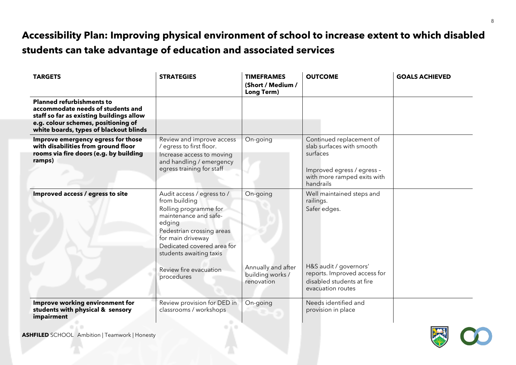# **Accessibility Plan: Improving physical environment of school to increase extent to which disabled students can take advantage of education and associated services**

| <b>TARGETS</b>                                                                                                                | <b>STRATEGIES</b>                                                                                                                                                                                                  | <b>TIMEFRAMES</b><br>(Short / Medium /<br><b>Long Term)</b> | <b>OUTCOME</b>                                                                                                                              | <b>GOALS ACHIEVED</b> |
|-------------------------------------------------------------------------------------------------------------------------------|--------------------------------------------------------------------------------------------------------------------------------------------------------------------------------------------------------------------|-------------------------------------------------------------|---------------------------------------------------------------------------------------------------------------------------------------------|-----------------------|
| <b>Planned refurbishments to</b><br>accommodate needs of students and<br>staff so far as existing buildings allow             |                                                                                                                                                                                                                    |                                                             |                                                                                                                                             |                       |
| e.g. colour schemes, positioning of<br>white boards, types of blackout blinds                                                 |                                                                                                                                                                                                                    |                                                             |                                                                                                                                             |                       |
| Improve emergency egress for those<br>with disabilities from ground floor<br>rooms via fire doors (e.g. by building<br>ramps) | Review and improve access<br>/ egress to first floor.<br>Increase access to moving<br>and handling / emergency<br>egress training for staff                                                                        | On-going                                                    | Continued replacement of<br>slab surfaces with smooth<br>surfaces<br>Improved egress / egress -<br>with more ramped exits with<br>handrails |                       |
| Improved access / egress to site                                                                                              | Audit access / egress to /<br>from building<br>Rolling programme for<br>maintenance and safe-<br>edging<br>Pedestrian crossing areas<br>for main driveway<br>Dedicated covered area for<br>students awaiting taxis | On-going                                                    | Well maintained steps and<br>railings.<br>Safer edges.                                                                                      |                       |
|                                                                                                                               | Review fire evacuation<br>procedures                                                                                                                                                                               | Annually and after<br>building works /<br>renovation        | H&S audit / governors'<br>reports. Improved access for<br>disabled students at fire<br>evacuation routes                                    |                       |
| Improve working environment for<br>students with physical & sensory<br>impairment                                             | Review provision for DED in<br>classrooms / workshops                                                                                                                                                              | On-going                                                    | Needs identified and<br>provision in place                                                                                                  |                       |

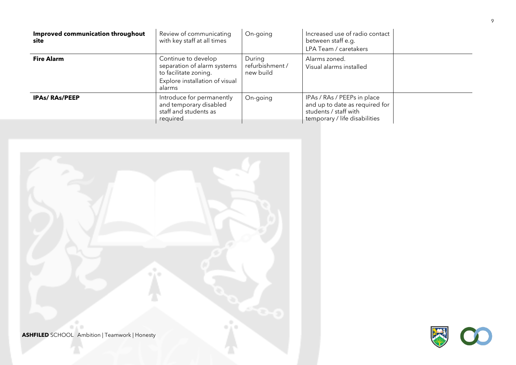| Improved communication throughout<br>site | Review of communicating<br>with key staff at all times                                                                  | On-going                               | Increased use of radio contact<br>between staff e.g.<br>LPA Team / caretakers                                           |  |
|-------------------------------------------|-------------------------------------------------------------------------------------------------------------------------|----------------------------------------|-------------------------------------------------------------------------------------------------------------------------|--|
| <b>Fire Alarm</b>                         | Continue to develop<br>separation of alarm systems<br>to facilitate zoning.<br>Explore installation of visual<br>alarms | During<br>refurbishment /<br>new build | Alarms zoned.<br>Visual alarms installed                                                                                |  |
| <b>IPAs/RAs/PEEP</b>                      | Introduce for permanently<br>and temporary disabled<br>staff and students as<br>required                                | On-going                               | IPAs / RAs / PEEPs in place<br>and up to date as required for<br>students / staff with<br>temporary / life disabilities |  |